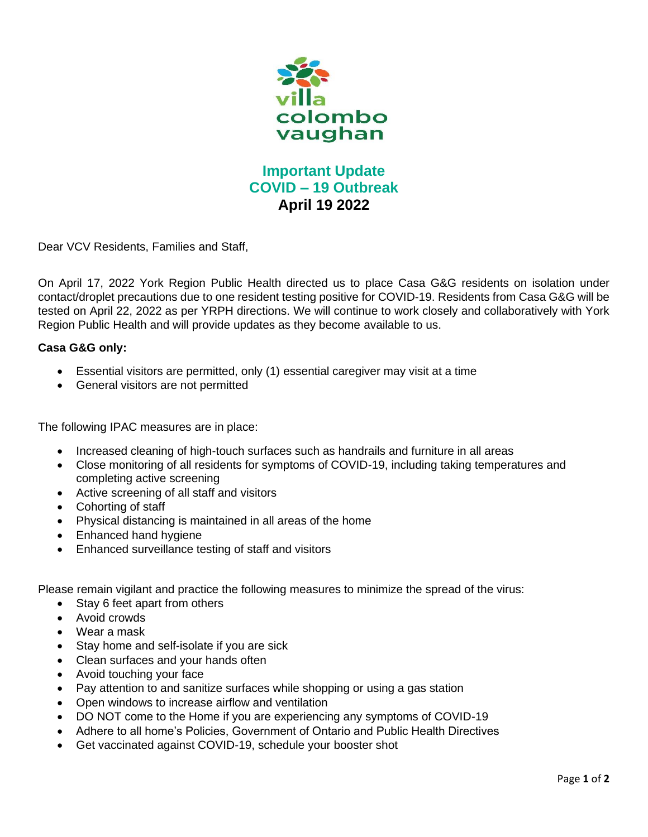

## **Important Update COVID – 19 Outbreak April 19 2022**

Dear VCV Residents, Families and Staff,

On April 17, 2022 York Region Public Health directed us to place Casa G&G residents on isolation under contact/droplet precautions due to one resident testing positive for COVID-19. Residents from Casa G&G will be tested on April 22, 2022 as per YRPH directions. We will continue to work closely and collaboratively with York Region Public Health and will provide updates as they become available to us.

## **Casa G&G only:**

- Essential visitors are permitted, only (1) essential caregiver may visit at a time
- General visitors are not permitted

The following IPAC measures are in place:

- Increased cleaning of high-touch surfaces such as handrails and furniture in all areas
- Close monitoring of all residents for symptoms of COVID-19, including taking temperatures and completing active screening
- Active screening of all staff and visitors
- Cohorting of staff
- Physical distancing is maintained in all areas of the home
- Enhanced hand hygiene
- Enhanced surveillance testing of staff and visitors

Please remain vigilant and practice the following measures to minimize the spread of the virus:

- Stay 6 feet apart from others
- Avoid crowds
- Wear a mask
- Stay home and self-isolate if you are sick
- Clean surfaces and your hands often
- Avoid touching your face
- Pay attention to and sanitize surfaces while shopping or using a gas station
- Open windows to increase airflow and ventilation
- DO NOT come to the Home if you are experiencing any symptoms of COVID-19
- Adhere to all home's Policies, Government of Ontario and Public Health Directives
- Get vaccinated against COVID-19, schedule your booster shot